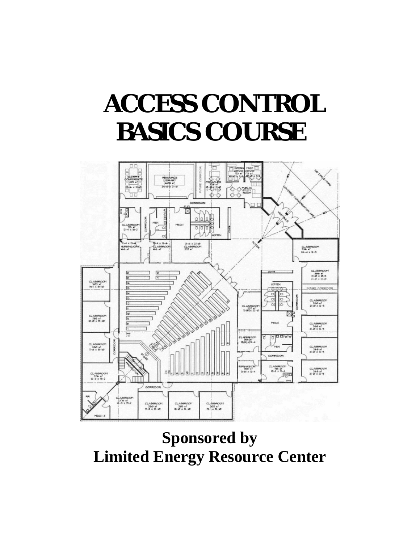# **ACCESS CONTROL BASICS COURSE**



**Sponsored by Limited Energy Resource Center**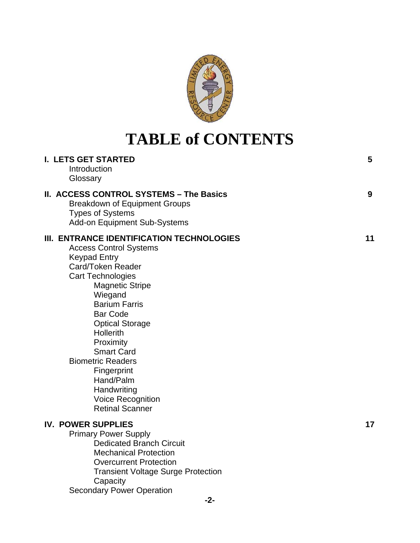

### **TABLE of CONTENTS**

| I. LETS GET STARTED<br>Introduction<br>Glossary                                                                                                                                                                                                                                                                                                                                                                                                 | 5  |
|-------------------------------------------------------------------------------------------------------------------------------------------------------------------------------------------------------------------------------------------------------------------------------------------------------------------------------------------------------------------------------------------------------------------------------------------------|----|
| <b>II. ACCESS CONTROL SYSTEMS - The Basics</b><br><b>Breakdown of Equipment Groups</b><br><b>Types of Systems</b><br><b>Add-on Equipment Sub-Systems</b>                                                                                                                                                                                                                                                                                        | 9  |
| III. ENTRANCE IDENTIFICATION TECHNOLOGIES<br><b>Access Control Systems</b><br><b>Keypad Entry</b><br>Card/Token Reader<br><b>Cart Technologies</b><br><b>Magnetic Stripe</b><br>Wiegand<br><b>Barium Farris</b><br><b>Bar Code</b><br><b>Optical Storage</b><br><b>Hollerith</b><br>Proximity<br><b>Smart Card</b><br><b>Biometric Readers</b><br>Fingerprint<br>Hand/Palm<br>Handwriting<br><b>Voice Recognition</b><br><b>Retinal Scanner</b> | 11 |
| <b>IV. POWER SUPPLIES</b><br><b>Primary Power Supply</b><br><b>Dedicated Branch Circuit</b><br><b>Mechanical Protection</b><br><b>Overcurrent Protection</b><br><b>Transient Voltage Surge Protection</b><br>Capacity<br><b>Secondary Power Operation</b>                                                                                                                                                                                       | 17 |
| $-2-$                                                                                                                                                                                                                                                                                                                                                                                                                                           |    |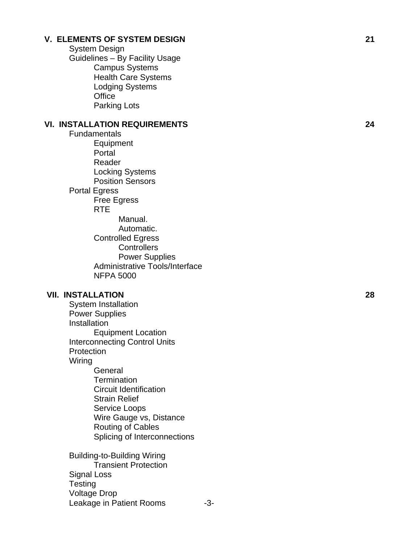#### **V. ELEMENTS OF SYSTEM DESIGN 21**

 System Design Guidelines – By Facility Usage Campus Systems Health Care Systems Lodging Systems **Office** Parking Lots

#### **VI. INSTALLATION REQUIREMENTS 24**

Fundamentals Equipment **Portal** Reader Locking Systems Position Sensors Portal Egress Free Egress RTE Manual. Automatic. Controlled Egress **Controllers**  Power Supplies Administrative Tools/Interface NFPA 5000

#### **VII. INSTALLATION 28**

System Installation Power Supplies Installation Equipment Location Interconnecting Control Units **Protection** Wiring **General Termination** Circuit Identification Strain Relief Service Loops Wire Gauge vs, Distance Routing of Cables Splicing of Interconnections Building-to-Building Wiring Transient Protection Signal Loss **Testing** Voltage Drop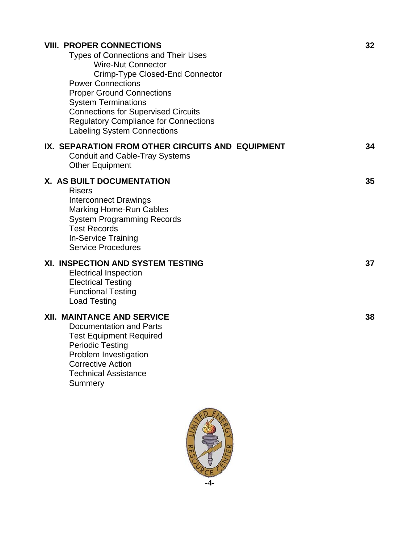| <b>VIII. PROPER CONNECTIONS</b><br><b>Types of Connections and Their Uses</b><br><b>Wire-Nut Connector</b><br>Crimp-Type Closed-End Connector<br><b>Power Connections</b><br><b>Proper Ground Connections</b><br><b>System Terminations</b><br><b>Connections for Supervised Circuits</b><br><b>Regulatory Compliance for Connections</b><br><b>Labeling System Connections</b> | 32 |
|---------------------------------------------------------------------------------------------------------------------------------------------------------------------------------------------------------------------------------------------------------------------------------------------------------------------------------------------------------------------------------|----|
| IX. SEPARATION FROM OTHER CIRCUITS AND EQUIPMENT<br><b>Conduit and Cable-Tray Systems</b><br><b>Other Equipment</b>                                                                                                                                                                                                                                                             | 34 |
| X. AS BUILT DOCUMENTATION<br><b>Risers</b><br><b>Interconnect Drawings</b><br><b>Marking Home-Run Cables</b><br><b>System Programming Records</b><br><b>Test Records</b><br><b>In-Service Training</b><br><b>Service Procedures</b>                                                                                                                                             | 35 |
| XI. INSPECTION AND SYSTEM TESTING<br><b>Electrical Inspection</b><br><b>Electrical Testing</b><br><b>Functional Testing</b><br><b>Load Testing</b>                                                                                                                                                                                                                              | 37 |
| <b>XII. MAINTANCE AND SERVICE</b><br>Documentation and Parts<br><b>Test Equipment Required</b><br>Periodic Testing<br>Problem Investigation<br><b>Corrective Action</b><br><b>Technical Assistance</b><br>Summery                                                                                                                                                               | 38 |

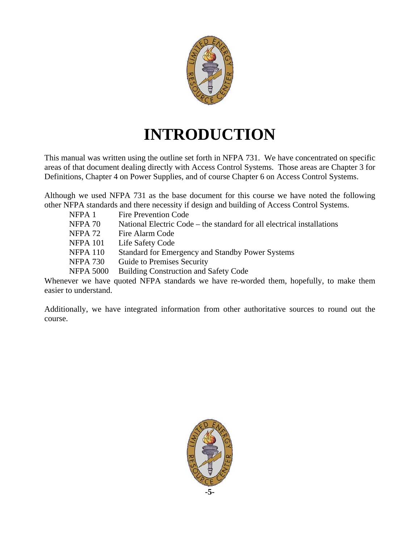

### **INTRODUCTION**

This manual was written using the outline set forth in NFPA 731. We have concentrated on specific areas of that document dealing directly with Access Control Systems. Those areas are Chapter 3 for Definitions, Chapter 4 on Power Supplies, and of course Chapter 6 on Access Control Systems.

Although we used NFPA 731 as the base document for this course we have noted the following other NFPA standards and there necessity if design and building of Access Control Systems.

| NFPA 1           | <b>Fire Prevention Code</b>                                                            |
|------------------|----------------------------------------------------------------------------------------|
| NFPA 70          | National Electric Code – the standard for all electrical installations                 |
| NFPA 72          | Fire Alarm Code                                                                        |
| <b>NFPA 101</b>  | Life Safety Code                                                                       |
| <b>NFPA 110</b>  | Standard for Emergency and Standby Power Systems                                       |
| <b>NFPA 730</b>  | Guide to Premises Security                                                             |
| <b>NFPA 5000</b> | <b>Building Construction and Safety Code</b>                                           |
|                  | Whomever we have guated NEDA, stordards we have no wouded them, hangfully, to make the |

Whenever we have quoted NFPA standards we have re-worded them, hopefully, to make them easier to understand.

Additionally, we have integrated information from other authoritative sources to round out the course.

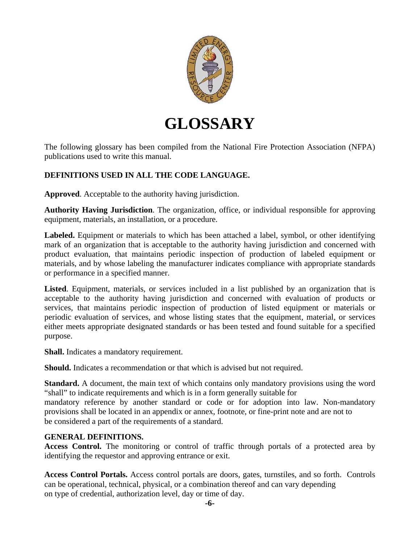

### **GLOSSARY**

The following glossary has been compiled from the National Fire Protection Association (NFPA) publications used to write this manual.

#### **DEFINITIONS USED IN ALL THE CODE LANGUAGE.**

**Approved**. Acceptable to the authority having jurisdiction.

**Authority Having Jurisdiction**. The organization, office, or individual responsible for approving equipment, materials, an installation, or a procedure.

**Labeled.** Equipment or materials to which has been attached a label, symbol, or other identifying mark of an organization that is acceptable to the authority having jurisdiction and concerned with product evaluation, that maintains periodic inspection of production of labeled equipment or materials, and by whose labeling the manufacturer indicates compliance with appropriate standards or performance in a specified manner.

**Listed**. Equipment, materials, or services included in a list published by an organization that is acceptable to the authority having jurisdiction and concerned with evaluation of products or services, that maintains periodic inspection of production of listed equipment or materials or periodic evaluation of services, and whose listing states that the equipment, material, or services either meets appropriate designated standards or has been tested and found suitable for a specified purpose.

**Shall.** Indicates a mandatory requirement.

**Should.** Indicates a recommendation or that which is advised but not required.

**Standard.** A document, the main text of which contains only mandatory provisions using the word "shall" to indicate requirements and which is in a form generally suitable for

mandatory reference by another standard or code or for adoption into law. Non-mandatory provisions shall be located in an appendix or annex, footnote, or fine-print note and are not to be considered a part of the requirements of a standard.

#### **GENERAL DEFINITIONS.**

**Access Control.** The monitoring or control of traffic through portals of a protected area by identifying the requestor and approving entrance or exit.

**Access Control Portals.** Access control portals are doors, gates, turnstiles, and so forth. Controls can be operational, technical, physical, or a combination thereof and can vary depending on type of credential, authorization level, day or time of day.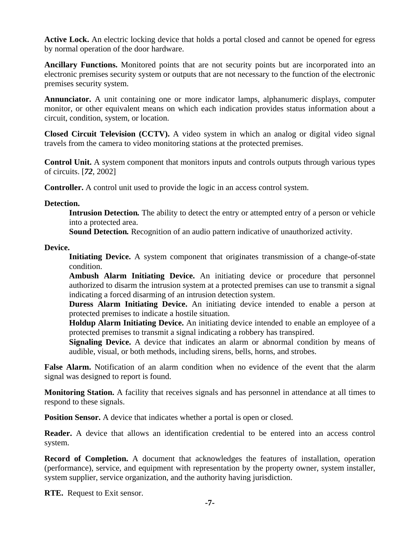**Active Lock.** An electric locking device that holds a portal closed and cannot be opened for egress by normal operation of the door hardware.

**Ancillary Functions.** Monitored points that are not security points but are incorporated into an electronic premises security system or outputs that are not necessary to the function of the electronic premises security system.

**Annunciator.** A unit containing one or more indicator lamps, alphanumeric displays, computer monitor, or other equivalent means on which each indication provides status information about a circuit, condition, system, or location.

**Closed Circuit Television (CCTV).** A video system in which an analog or digital video signal travels from the camera to video monitoring stations at the protected premises.

**Control Unit.** A system component that monitors inputs and controls outputs through various types of circuits. [*72*, 2002]

**Controller.** A control unit used to provide the logic in an access control system.

**Detection.** 

**Intrusion Detection***.* The ability to detect the entry or attempted entry of a person or vehicle into a protected area.

**Sound Detection***.* Recognition of an audio pattern indicative of unauthorized activity.

**Device.** 

**Initiating Device.** A system component that originates transmission of a change-of-state condition.

**Ambush Alarm Initiating Device.** An initiating device or procedure that personnel authorized to disarm the intrusion system at a protected premises can use to transmit a signal indicating a forced disarming of an intrusion detection system.

**Duress Alarm Initiating Device.** An initiating device intended to enable a person at protected premises to indicate a hostile situation.

**Holdup Alarm Initiating Device.** An initiating device intended to enable an employee of a protected premises to transmit a signal indicating a robbery has transpired.

**Signaling Device.** A device that indicates an alarm or abnormal condition by means of audible, visual, or both methods, including sirens, bells, horns, and strobes.

**False Alarm.** Notification of an alarm condition when no evidence of the event that the alarm signal was designed to report is found.

**Monitoring Station.** A facility that receives signals and has personnel in attendance at all times to respond to these signals.

**Position Sensor.** A device that indicates whether a portal is open or closed.

**Reader.** A device that allows an identification credential to be entered into an access control system.

**Record of Completion.** A document that acknowledges the features of installation, operation (performance), service, and equipment with representation by the property owner, system installer, system supplier, service organization, and the authority having jurisdiction.

**RTE.** Request to Exit sensor.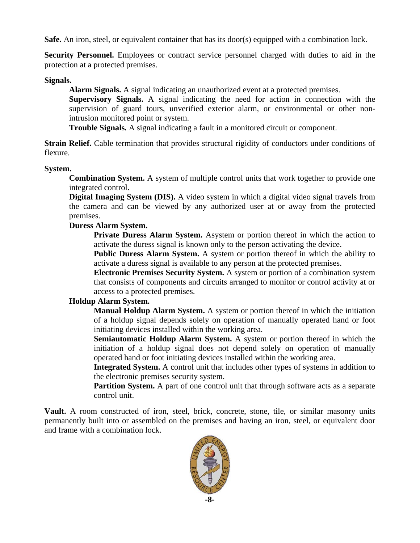**Safe.** An iron, steel, or equivalent container that has its door(s) equipped with a combination lock.

**Security Personnel.** Employees or contract service personnel charged with duties to aid in the protection at a protected premises.

#### **Signals.**

**Alarm Signals.** A signal indicating an unauthorized event at a protected premises.

**Supervisory Signals.** A signal indicating the need for action in connection with the supervision of guard tours, unverified exterior alarm, or environmental or other nonintrusion monitored point or system.

**Trouble Signals***.* A signal indicating a fault in a monitored circuit or component.

**Strain Relief.** Cable termination that provides structural rigidity of conductors under conditions of flexure.

#### **System.**

**Combination System.** A system of multiple control units that work together to provide one integrated control.

**Digital Imaging System (DIS).** A video system in which a digital video signal travels from the camera and can be viewed by any authorized user at or away from the protected premises.

#### **Duress Alarm System.**

**Private Duress Alarm System.** Asystem or portion thereof in which the action to activate the duress signal is known only to the person activating the device.

**Public Duress Alarm System.** A system or portion thereof in which the ability to activate a duress signal is available to any person at the protected premises.

**Electronic Premises Security System.** A system or portion of a combination system that consists of components and circuits arranged to monitor or control activity at or access to a protected premises.

#### **Holdup Alarm System.**

**Manual Holdup Alarm System.** A system or portion thereof in which the initiation of a holdup signal depends solely on operation of manually operated hand or foot initiating devices installed within the working area.

**Semiautomatic Holdup Alarm System.** A system or portion thereof in which the initiation of a holdup signal does not depend solely on operation of manually operated hand or foot initiating devices installed within the working area.

**Integrated System.** A control unit that includes other types of systems in addition to the electronic premises security system.

Partition System. A part of one control unit that through software acts as a separate control unit.

**Vault.** A room constructed of iron, steel, brick, concrete, stone, tile, or similar masonry units permanently built into or assembled on the premises and having an iron, steel, or equivalent door and frame with a combination lock.

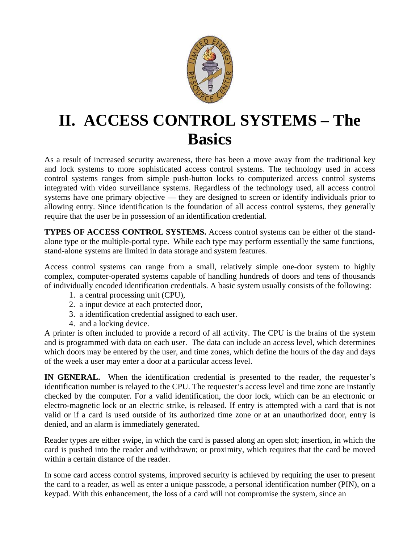

### **II. ACCESS CONTROL SYSTEMS – The Basics**

As a result of increased security awareness, there has been a move away from the traditional key and lock systems to more sophisticated access control systems. The technology used in access control systems ranges from simple push-button locks to computerized access control systems integrated with video surveillance systems. Regardless of the technology used, all access control systems have one primary objective — they are designed to screen or identify individuals prior to allowing entry. Since identification is the foundation of all access control systems, they generally require that the user be in possession of an identification credential.

**TYPES OF ACCESS CONTROL SYSTEMS.** Access control systems can be either of the standalone type or the multiple-portal type. While each type may perform essentially the same functions, stand-alone systems are limited in data storage and system features.

Access control systems can range from a small, relatively simple one-door system to highly complex, computer-operated systems capable of handling hundreds of doors and tens of thousands of individually encoded identification credentials. A basic system usually consists of the following:

- 1. a central processing unit (CPU),
- 2. a input device at each protected door,
- 3. a identification credential assigned to each user.
- 4. and a locking device.

A printer is often included to provide a record of all activity. The CPU is the brains of the system and is programmed with data on each user. The data can include an access level, which determines which doors may be entered by the user, and time zones, which define the hours of the day and days of the week a user may enter a door at a particular access level.

**IN GENERAL.** When the identification credential is presented to the reader, the requester's identification number is relayed to the CPU. The requester's access level and time zone are instantly checked by the computer. For a valid identification, the door lock, which can be an electronic or electro-magnetic lock or an electric strike, is released. If entry is attempted with a card that is not valid or if a card is used outside of its authorized time zone or at an unauthorized door, entry is denied, and an alarm is immediately generated.

Reader types are either swipe, in which the card is passed along an open slot; insertion, in which the card is pushed into the reader and withdrawn; or proximity, which requires that the card be moved within a certain distance of the reader.

In some card access control systems, improved security is achieved by requiring the user to present the card to a reader, as well as enter a unique passcode, a personal identification number (PIN), on a keypad. With this enhancement, the loss of a card will not compromise the system, since an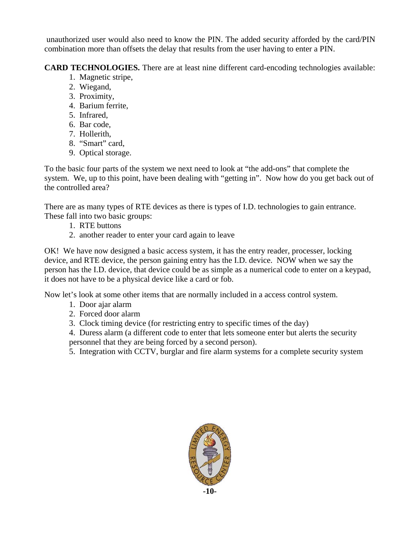unauthorized user would also need to know the PIN. The added security afforded by the card/PIN combination more than offsets the delay that results from the user having to enter a PIN.

**CARD TECHNOLOGIES.** There are at least nine different card-encoding technologies available:

- 1. Magnetic stripe,
- 2. Wiegand,
- 3. Proximity,
- 4. Barium ferrite,
- 5. Infrared,
- 6. Bar code,
- 7. Hollerith,
- 8. "Smart" card,
- 9. Optical storage.

To the basic four parts of the system we next need to look at "the add-ons" that complete the system. We, up to this point, have been dealing with "getting in". Now how do you get back out of the controlled area?

There are as many types of RTE devices as there is types of I.D. technologies to gain entrance. These fall into two basic groups:

- 1. RTE buttons
- 2. another reader to enter your card again to leave

OK! We have now designed a basic access system, it has the entry reader, processer, locking device, and RTE device, the person gaining entry has the I.D. device. NOW when we say the person has the I.D. device, that device could be as simple as a numerical code to enter on a keypad, it does not have to be a physical device like a card or fob.

Now let's look at some other items that are normally included in a access control system.

- 1. Door ajar alarm
- 2. Forced door alarm
- 3. Clock timing device (for restricting entry to specific times of the day)

4. Duress alarm (a different code to enter that lets someone enter but alerts the security personnel that they are being forced by a second person).

5. Integration with CCTV, burglar and fire alarm systems for a complete security system

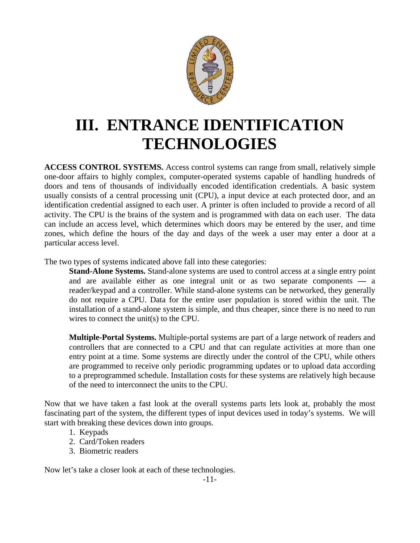

### **III. ENTRANCE IDENTIFICATION TECHNOLOGIES**

**ACCESS CONTROL SYSTEMS.** Access control systems can range from small, relatively simple one-door affairs to highly complex, computer-operated systems capable of handling hundreds of doors and tens of thousands of individually encoded identification credentials. A basic system usually consists of a central processing unit (CPU), a input device at each protected door, and an identification credential assigned to each user. A printer is often included to provide a record of all activity. The CPU is the brains of the system and is programmed with data on each user. The data can include an access level, which determines which doors may be entered by the user, and time zones, which define the hours of the day and days of the week a user may enter a door at a particular access level.

The two types of systems indicated above fall into these categories:

**Stand-Alone Systems.** Stand-alone systems are used to control access at a single entry point and are available either as one integral unit or as two separate components **—** a reader/keypad and a controller. While stand-alone systems can be networked, they generally do not require a CPU. Data for the entire user population is stored within the unit. The installation of a stand-alone system is simple, and thus cheaper, since there is no need to run wires to connect the unit(s) to the CPU.

**Multiple-Portal Systems.** Multiple-portal systems are part of a large network of readers and controllers that are connected to a CPU and that can regulate activities at more than one entry point at a time. Some systems are directly under the control of the CPU, while others are programmed to receive only periodic programming updates or to upload data according to a preprogrammed schedule. Installation costs for these systems are relatively high because of the need to interconnect the units to the CPU.

Now that we have taken a fast look at the overall systems parts lets look at, probably the most fascinating part of the system, the different types of input devices used in today's systems. We will start with breaking these devices down into groups.

- 1. Keypads
- 2. Card/Token readers
- 3. Biometric readers

Now let's take a closer look at each of these technologies.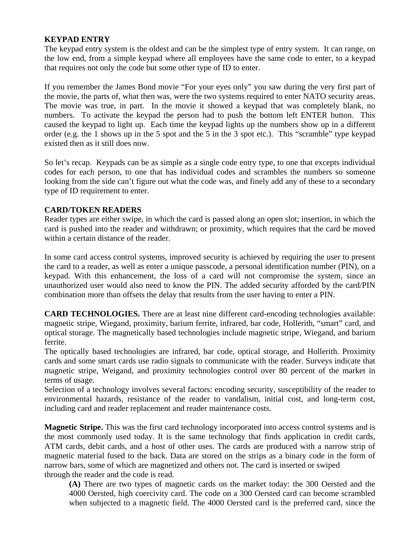#### **KEYPAD ENTRY**

The keypad entry system is the oldest and can be the simplest type of entry system. It can range, on the low end, from a simple keypad where all employees have the same code to enter, to a keypad that requires not only the code but some other type of ID to enter.

If you remember the James Bond movie "For your eyes only" you saw during the very first part of the movie, the parts of, what then was, were the two systems required to enter NATO security areas. The movie was true, in part. In the movie it showed a keypad that was completely blank, no numbers. To activate the keypad the person had to push the bottom left ENTER button. This caused the keypad to light up. Each time the keypad lights up the numbers show up in a different order (e.g. the 1 shows up in the 5 spot and the 5 in the 3 spot etc.). This "scramble" type keypad existed then as it still does now.

So let's recap. Keypads can be as simple as a single code entry type, to one that excepts individual codes for each person, to one that has individual codes and scrambles the numbers so someone looking from the side can't figure out what the code was, and finely add any of these to a secondary type of ID requirement to enter.

#### **CARD/TOKEN READERS**

Reader types are either swipe, in which the card is passed along an open slot; insertion, in which the card is pushed into the reader and withdrawn; or proximity, which requires that the card be moved within a certain distance of the reader.

In some card access control systems, improved security is achieved by requiring the user to present the card to a reader, as well as enter a unique passcode, a personal identification number (PIN), on a keypad. With this enhancement, the loss of a card will not compromise the system, since an unauthorized user would also need to know the PIN. The added security afforded by the card/PIN combination more than offsets the delay that results from the user having to enter a PIN.

**CARD TECHNOLOGIES.** There are at least nine different card-encoding technologies available: magnetic stripe, Wiegand, proximity, barium ferrite, infrared, bar code, Hollerith, "smart" card, and optical storage. The magnetically based technologies include magnetic stripe, Wiegand, and barium ferrite.

The optically based technologies are infrared, bar code, optical storage, and Hollerith. Proximity cards and some smart cards use radio signals to communicate with the reader. Surveys indicate that magnetic stripe, Weigand, and proximity technologies control over 80 percent of the market in terms of usage.

Selection of a technology involves several factors: encoding security, susceptibility of the reader to environmental hazards, resistance of the reader to vandalism, initial cost, and long-term cost, including card and reader replacement and reader maintenance costs.

**Magnetic Stripe.** This was the first card technology incorporated into access control systems and is the most commonly used today. It is the same technology that finds application in credit cards, ATM cards, debit cards, and a host of other uses. The cards are produced with a narrow strip of magnetic material fused to the back. Data are stored on the strips as a binary code in the form of narrow bars, some of which are magnetized and others not. The card is inserted or swiped through the reader and the code is read.

**(A)** There are two types of magnetic cards on the market today: the 300 Oersted and the 4000 Oersted, high coercivity card. The code on a 300 Oersted card can become scrambled when subjected to a magnetic field. The 4000 Oersted card is the preferred card, since the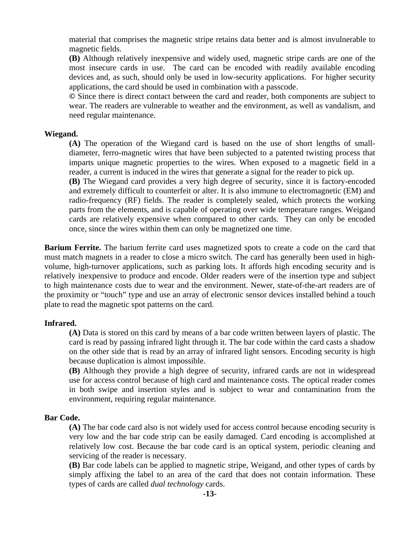material that comprises the magnetic stripe retains data better and is almost invulnerable to magnetic fields.

**(B)** Although relatively inexpensive and widely used, magnetic stripe cards are one of the most insecure cards in use. The card can be encoded with readily available encoding devices and, as such, should only be used in low-security applications. For higher security applications, the card should be used in combination with a passcode.

**©** Since there is direct contact between the card and reader, both components are subject to wear. The readers are vulnerable to weather and the environment, as well as vandalism, and need regular maintenance.

#### **Wiegand.**

**(A)** The operation of the Wiegand card is based on the use of short lengths of smalldiameter, ferro-magnetic wires that have been subjected to a patented twisting process that imparts unique magnetic properties to the wires. When exposed to a magnetic field in a reader, a current is induced in the wires that generate a signal for the reader to pick up.

**(B)** The Wiegand card provides a very high degree of security, since it is factory-encoded and extremely difficult to counterfeit or alter. It is also immune to electromagnetic (EM) and radio-frequency (RF) fields. The reader is completely sealed, which protects the working parts from the elements, and is capable of operating over wide temperature ranges. Weigand cards are relatively expensive when compared to other cards. They can only be encoded once, since the wires within them can only be magnetized one time.

**Barium Ferrite.** The barium ferrite card uses magnetized spots to create a code on the card that must match magnets in a reader to close a micro switch. The card has generally been used in highvolume, high-turnover applications, such as parking lots. It affords high encoding security and is relatively inexpensive to produce and encode. Older readers were of the insertion type and subject to high maintenance costs due to wear and the environment. Newer, state-of-the-art readers are of the proximity or "touch" type and use an array of electronic sensor devices installed behind a touch plate to read the magnetic spot patterns on the card.

#### **Infrared.**

**(A)** Data is stored on this card by means of a bar code written between layers of plastic. The card is read by passing infrared light through it. The bar code within the card casts a shadow on the other side that is read by an array of infrared light sensors. Encoding security is high because duplication is almost impossible.

**(B)** Although they provide a high degree of security, infrared cards are not in widespread use for access control because of high card and maintenance costs. The optical reader comes in both swipe and insertion styles and is subject to wear and contamination from the environment, requiring regular maintenance.

#### **Bar Code.**

**(A)** The bar code card also is not widely used for access control because encoding security is very low and the bar code strip can be easily damaged. Card encoding is accomplished at relatively low cost. Because the bar code card is an optical system, periodic cleaning and servicing of the reader is necessary.

**(B)** Bar code labels can be applied to magnetic stripe, Weigand, and other types of cards by simply affixing the label to an area of the card that does not contain information. These types of cards are called *dual technology* cards.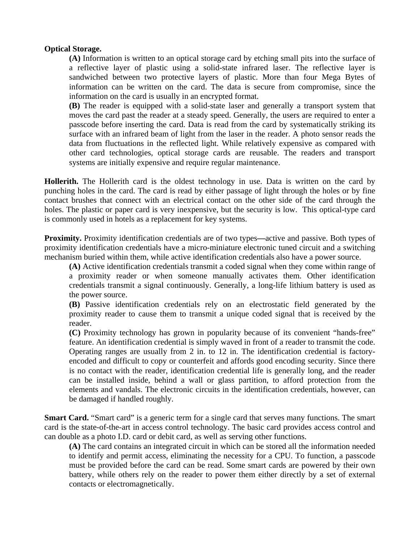#### **Optical Storage.**

**(A)** Information is written to an optical storage card by etching small pits into the surface of a reflective layer of plastic using a solid-state infrared laser. The reflective layer is sandwiched between two protective layers of plastic. More than four Mega Bytes of information can be written on the card. The data is secure from compromise, since the information on the card is usually in an encrypted format.

**(B)** The reader is equipped with a solid-state laser and generally a transport system that moves the card past the reader at a steady speed. Generally, the users are required to enter a passcode before inserting the card. Data is read from the card by systematically striking its surface with an infrared beam of light from the laser in the reader. A photo sensor reads the data from fluctuations in the reflected light. While relatively expensive as compared with other card technologies, optical storage cards are reusable. The readers and transport systems are initially expensive and require regular maintenance.

**Hollerith.** The Hollerith card is the oldest technology in use. Data is written on the card by punching holes in the card. The card is read by either passage of light through the holes or by fine contact brushes that connect with an electrical contact on the other side of the card through the holes. The plastic or paper card is very inexpensive, but the security is low. This optical-type card is commonly used in hotels as a replacement for key systems.

**Proximity.** Proximity identification credentials are of two types**—**active and passive. Both types of proximity identification credentials have a micro-miniature electronic tuned circuit and a switching mechanism buried within them, while active identification credentials also have a power source.

**(A)** Active identification credentials transmit a coded signal when they come within range of a proximity reader or when someone manually activates them. Other identification credentials transmit a signal continuously. Generally, a long-life lithium battery is used as the power source.

**(B)** Passive identification credentials rely on an electrostatic field generated by the proximity reader to cause them to transmit a unique coded signal that is received by the reader.

**(C)** Proximity technology has grown in popularity because of its convenient "hands-free" feature. An identification credential is simply waved in front of a reader to transmit the code. Operating ranges are usually from 2 in. to 12 in. The identification credential is factoryencoded and difficult to copy or counterfeit and affords good encoding security. Since there is no contact with the reader, identification credential life is generally long, and the reader can be installed inside, behind a wall or glass partition, to afford protection from the elements and vandals. The electronic circuits in the identification credentials, however, can be damaged if handled roughly.

**Smart Card.** "Smart card" is a generic term for a single card that serves many functions. The smart card is the state-of-the-art in access control technology. The basic card provides access control and can double as a photo I.D. card or debit card, as well as serving other functions.

**(A)** The card contains an integrated circuit in which can be stored all the information needed to identify and permit access, eliminating the necessity for a CPU. To function, a passcode must be provided before the card can be read. Some smart cards are powered by their own battery, while others rely on the reader to power them either directly by a set of external contacts or electromagnetically.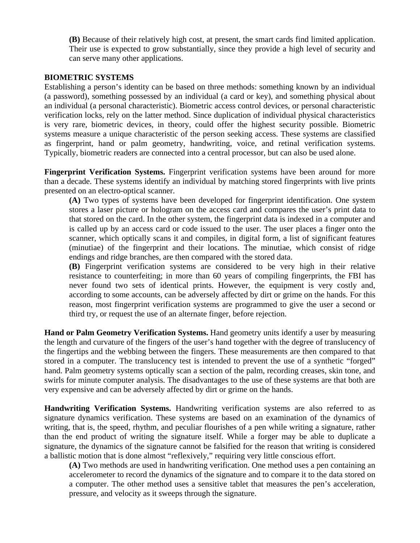**(B)** Because of their relatively high cost, at present, the smart cards find limited application. Their use is expected to grow substantially, since they provide a high level of security and can serve many other applications.

#### **BIOMETRIC SYSTEMS**

Establishing a person's identity can be based on three methods: something known by an individual (a password), something possessed by an individual (a card or key), and something physical about an individual (a personal characteristic). Biometric access control devices, or personal characteristic verification locks, rely on the latter method. Since duplication of individual physical characteristics is very rare, biometric devices, in theory, could offer the highest security possible. Biometric systems measure a unique characteristic of the person seeking access. These systems are classified as fingerprint, hand or palm geometry, handwriting, voice, and retinal verification systems. Typically, biometric readers are connected into a central processor, but can also be used alone.

**Fingerprint Verification Systems.** Fingerprint verification systems have been around for more than a decade. These systems identify an individual by matching stored fingerprints with live prints presented on an electro-optical scanner.

**(A)** Two types of systems have been developed for fingerprint identification. One system stores a laser picture or hologram on the access card and compares the user's print data to that stored on the card. In the other system, the fingerprint data is indexed in a computer and is called up by an access card or code issued to the user. The user places a finger onto the scanner, which optically scans it and compiles, in digital form, a list of significant features (minutiae) of the fingerprint and their locations. The minutiae, which consist of ridge endings and ridge branches, are then compared with the stored data.

**(B)** Fingerprint verification systems are considered to be very high in their relative resistance to counterfeiting; in more than 60 years of compiling fingerprints, the FBI has never found two sets of identical prints. However, the equipment is very costly and, according to some accounts, can be adversely affected by dirt or grime on the hands. For this reason, most fingerprint verification systems are programmed to give the user a second or third try, or request the use of an alternate finger, before rejection.

**Hand or Palm Geometry Verification Systems.** Hand geometry units identify a user by measuring the length and curvature of the fingers of the user's hand together with the degree of translucency of the fingertips and the webbing between the fingers. These measurements are then compared to that stored in a computer. The translucency test is intended to prevent the use of a synthetic "forged" hand. Palm geometry systems optically scan a section of the palm, recording creases, skin tone, and swirls for minute computer analysis. The disadvantages to the use of these systems are that both are very expensive and can be adversely affected by dirt or grime on the hands.

**Handwriting Verification Systems.** Handwriting verification systems are also referred to as signature dynamics verification. These systems are based on an examination of the dynamics of writing, that is, the speed, rhythm, and peculiar flourishes of a pen while writing a signature, rather than the end product of writing the signature itself. While a forger may be able to duplicate a signature, the dynamics of the signature cannot be falsified for the reason that writing is considered a ballistic motion that is done almost "reflexively," requiring very little conscious effort.

**(A)** Two methods are used in handwriting verification. One method uses a pen containing an accelerometer to record the dynamics of the signature and to compare it to the data stored on a computer. The other method uses a sensitive tablet that measures the pen's acceleration, pressure, and velocity as it sweeps through the signature.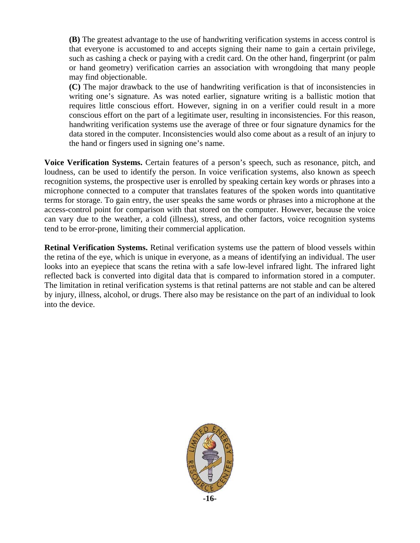**(B)** The greatest advantage to the use of handwriting verification systems in access control is that everyone is accustomed to and accepts signing their name to gain a certain privilege, such as cashing a check or paying with a credit card. On the other hand, fingerprint (or palm or hand geometry) verification carries an association with wrongdoing that many people may find objectionable.

**(C)** The major drawback to the use of handwriting verification is that of inconsistencies in writing one's signature. As was noted earlier, signature writing is a ballistic motion that requires little conscious effort. However, signing in on a verifier could result in a more conscious effort on the part of a legitimate user, resulting in inconsistencies. For this reason, handwriting verification systems use the average of three or four signature dynamics for the data stored in the computer. Inconsistencies would also come about as a result of an injury to the hand or fingers used in signing one's name.

**Voice Verification Systems.** Certain features of a person's speech, such as resonance, pitch, and loudness, can be used to identify the person. In voice verification systems, also known as speech recognition systems, the prospective user is enrolled by speaking certain key words or phrases into a microphone connected to a computer that translates features of the spoken words into quantitative terms for storage. To gain entry, the user speaks the same words or phrases into a microphone at the access-control point for comparison with that stored on the computer. However, because the voice can vary due to the weather, a cold (illness), stress, and other factors, voice recognition systems tend to be error-prone, limiting their commercial application.

**Retinal Verification Systems.** Retinal verification systems use the pattern of blood vessels within the retina of the eye, which is unique in everyone, as a means of identifying an individual. The user looks into an eyepiece that scans the retina with a safe low-level infrared light. The infrared light reflected back is converted into digital data that is compared to information stored in a computer. The limitation in retinal verification systems is that retinal patterns are not stable and can be altered by injury, illness, alcohol, or drugs. There also may be resistance on the part of an individual to look into the device.

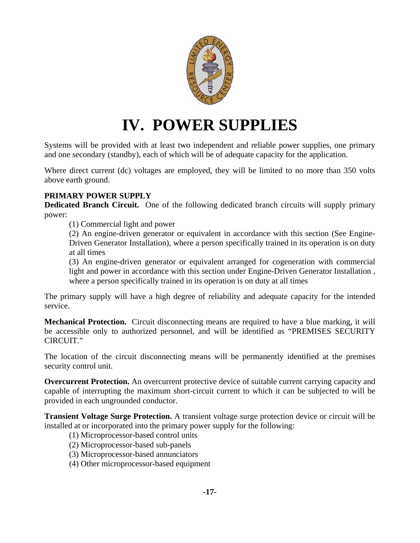

### **IV. POWER SUPPLIES**

Systems will be provided with at least two independent and reliable power supplies, one primary and one secondary (standby), each of which will be of adequate capacity for the application.

Where direct current (dc) voltages are employed, they will be limited to no more than 350 volts above earth ground.

#### **PRIMARY POWER SUPPLY**

**Dedicated Branch Circuit.** One of the following dedicated branch circuits will supply primary power:

(1) Commercial light and power

(2) An engine-driven generator or equivalent in accordance with this section (See Engine-Driven Generator Installation), where a person specifically trained in its operation is on duty at all times

(3) An engine-driven generator or equivalent arranged for cogeneration with commercial light and power in accordance with this section under Engine-Driven Generator Installation , where a person specifically trained in its operation is on duty at all times

The primary supply will have a high degree of reliability and adequate capacity for the intended service.

**Mechanical Protection.** Circuit disconnecting means are required to have a blue marking, it will be accessible only to authorized personnel, and will be identified as "PREMISES SECURITY CIRCUIT."

The location of the circuit disconnecting means will be permanently identified at the premises security control unit.

**Overcurrent Protection.** An overcurrent protective device of suitable current carrying capacity and capable of interrupting the maximum short-circuit current to which it can be subjected to will be provided in each ungrounded conductor.

**Transient Voltage Surge Protection.** A transient voltage surge protection device or circuit will be installed at or incorporated into the primary power supply for the following:

- (1) Microprocessor-based control units
- (2) Microprocessor-based sub-panels
- (3) Microprocessor-based annunciators
- (4) Other microprocessor-based equipment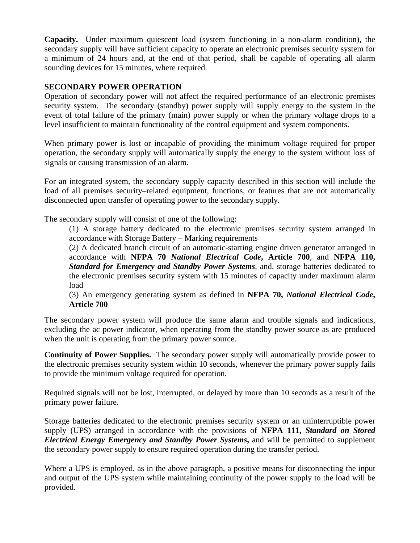**Capacity.** Under maximum quiescent load (system functioning in a non-alarm condition), the secondary supply will have sufficient capacity to operate an electronic premises security system for a minimum of 24 hours and, at the end of that period, shall be capable of operating all alarm sounding devices for 15 minutes, where required.

#### **SECONDARY POWER OPERATION**

Operation of secondary power will not affect the required performance of an electronic premises security system. The secondary (standby) power supply will supply energy to the system in the event of total failure of the primary (main) power supply or when the primary voltage drops to a level insufficient to maintain functionality of the control equipment and system components.

When primary power is lost or incapable of providing the minimum voltage required for proper operation, the secondary supply will automatically supply the energy to the system without loss of signals or causing transmission of an alarm.

For an integrated system, the secondary supply capacity described in this section will include the load of all premises security–related equipment, functions, or features that are not automatically disconnected upon transfer of operating power to the secondary supply.

The secondary supply will consist of one of the following:

(1) A storage battery dedicated to the electronic premises security system arranged in accordance with Storage Battery – Marking requirements

(2) A dedicated branch circuit of an automatic-starting engine driven generator arranged in accordance with **NFPA 70** *National Electrical Code***, Article 700**, and **NFPA 110,**  *Standard for Emergency and Standby Power Systems*, and, storage batteries dedicated to the electronic premises security system with 15 minutes of capacity under maximum alarm load

(3) An emergency generating system as defined in **NFPA 70,** *National Electrical Code***, Article 700** 

The secondary power system will produce the same alarm and trouble signals and indications, excluding the ac power indicator, when operating from the standby power source as are produced when the unit is operating from the primary power source.

**Continuity of Power Supplies.** The secondary power supply will automatically provide power to the electronic premises security system within 10 seconds, whenever the primary power supply fails to provide the minimum voltage required for operation.

Required signals will not be lost, interrupted, or delayed by more than 10 seconds as a result of the primary power failure.

Storage batteries dedicated to the electronic premises security system or an uninterruptible power supply (UPS) arranged in accordance with the provisions of **NFPA 111,** *Standard on Stored Electrical Energy Emergency and Standby Power Systems***,** and will be permitted to supplement the secondary power supply to ensure required operation during the transfer period.

Where a UPS is employed, as in the above paragraph, a positive means for disconnecting the input and output of the UPS system while maintaining continuity of the power supply to the load will be provided.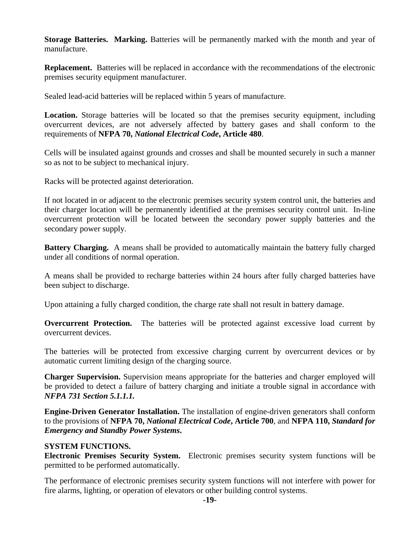**Storage Batteries. Marking.** Batteries will be permanently marked with the month and year of manufacture.

**Replacement.** Batteries will be replaced in accordance with the recommendations of the electronic premises security equipment manufacturer.

Sealed lead-acid batteries will be replaced within 5 years of manufacture.

**Location.** Storage batteries will be located so that the premises security equipment, including overcurrent devices, are not adversely affected by battery gases and shall conform to the requirements of **NFPA 70,** *National Electrical Code***, Article 480**.

Cells will be insulated against grounds and crosses and shall be mounted securely in such a manner so as not to be subject to mechanical injury.

Racks will be protected against deterioration.

If not located in or adjacent to the electronic premises security system control unit, the batteries and their charger location will be permanently identified at the premises security control unit. In-line overcurrent protection will be located between the secondary power supply batteries and the secondary power supply.

**Battery Charging.** A means shall be provided to automatically maintain the battery fully charged under all conditions of normal operation.

A means shall be provided to recharge batteries within 24 hours after fully charged batteries have been subject to discharge.

Upon attaining a fully charged condition, the charge rate shall not result in battery damage.

**Overcurrent Protection.** The batteries will be protected against excessive load current by overcurrent devices.

The batteries will be protected from excessive charging current by overcurrent devices or by automatic current limiting design of the charging source.

**Charger Supervision.** Supervision means appropriate for the batteries and charger employed will be provided to detect a failure of battery charging and initiate a trouble signal in accordance with *NFPA 731 Section 5.1.1.1.* 

**Engine-Driven Generator Installation.** The installation of engine-driven generators shall conform to the provisions of **NFPA 70,** *National Electrical Code***, Article 700**, and **NFPA 110,** *Standard for Emergency and Standby Power Systems***.** 

#### **SYSTEM FUNCTIONS.**

**Electronic Premises Security System.** Electronic premises security system functions will be permitted to be performed automatically.

The performance of electronic premises security system functions will not interfere with power for fire alarms, lighting, or operation of elevators or other building control systems.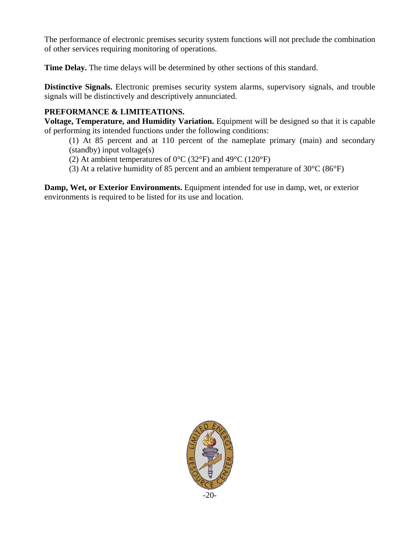The performance of electronic premises security system functions will not preclude the combination of other services requiring monitoring of operations.

**Time Delay.** The time delays will be determined by other sections of this standard.

**Distinctive Signals.** Electronic premises security system alarms, supervisory signals, and trouble signals will be distinctively and descriptively annunciated.

#### **PREFORMANCE & LIMITEATIONS.**

**Voltage, Temperature, and Humidity Variation.** Equipment will be designed so that it is capable of performing its intended functions under the following conditions:

(1) At 85 percent and at 110 percent of the nameplate primary (main) and secondary (standby) input voltage(s)

(2) At ambient temperatures of  $0^{\circ}$ C (32 $^{\circ}$ F) and 49 $^{\circ}$ C (120 $^{\circ}$ F)

(3) At a relative humidity of 85 percent and an ambient temperature of 30°C (86°F)

**Damp, Wet, or Exterior Environments.** Equipment intended for use in damp, wet, or exterior environments is required to be listed for its use and location.

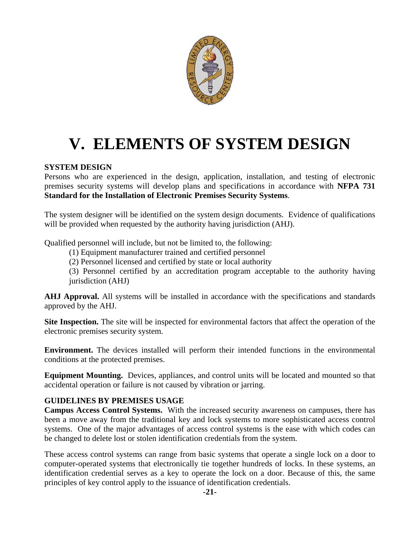

# **V. ELEMENTS OF SYSTEM DESIGN**

#### **SYSTEM DESIGN**

Persons who are experienced in the design, application, installation, and testing of electronic premises security systems will develop plans and specifications in accordance with **NFPA 731 Standard for the Installation of Electronic Premises Security Systems**.

The system designer will be identified on the system design documents. Evidence of qualifications will be provided when requested by the authority having jurisdiction (AHJ).

Qualified personnel will include, but not be limited to, the following:

(1) Equipment manufacturer trained and certified personnel

(2) Personnel licensed and certified by state or local authority

(3) Personnel certified by an accreditation program acceptable to the authority having jurisdiction (AHJ)

**AHJ Approval.** All systems will be installed in accordance with the specifications and standards approved by the AHJ.

**Site Inspection.** The site will be inspected for environmental factors that affect the operation of the electronic premises security system.

**Environment.** The devices installed will perform their intended functions in the environmental conditions at the protected premises.

**Equipment Mounting.** Devices, appliances, and control units will be located and mounted so that accidental operation or failure is not caused by vibration or jarring.

#### **GUIDELINES BY PREMISES USAGE**

**Campus Access Control Systems.** With the increased security awareness on campuses, there has been a move away from the traditional key and lock systems to more sophisticated access control systems. One of the major advantages of access control systems is the ease with which codes can be changed to delete lost or stolen identification credentials from the system.

These access control systems can range from basic systems that operate a single lock on a door to computer-operated systems that electronically tie together hundreds of locks. In these systems, an identification credential serves as a key to operate the lock on a door. Because of this, the same principles of key control apply to the issuance of identification credentials.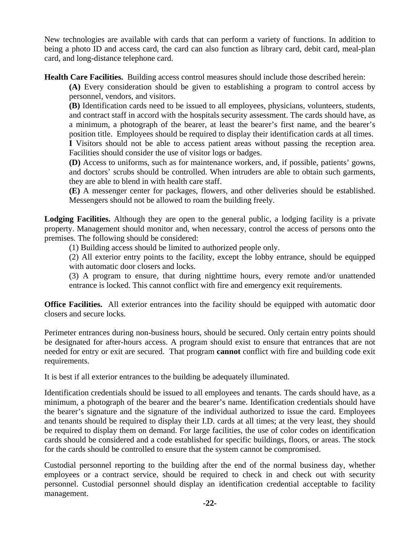New technologies are available with cards that can perform a variety of functions. In addition to being a photo ID and access card, the card can also function as library card, debit card, meal-plan card, and long-distance telephone card.

**Health Care Facilities.** Building access control measures should include those described herein:

**(A)** Every consideration should be given to establishing a program to control access by personnel, vendors, and visitors.

**(B)** Identification cards need to be issued to all employees, physicians, volunteers, students, and contract staff in accord with the hospitals security assessment. The cards should have, as a minimum, a photograph of the bearer, at least the bearer's first name, and the bearer's position title. Employees should be required to display their identification cards at all times. **I** Visitors should not be able to access patient areas without passing the reception area. Facilities should consider the use of visitor logs or badges.

**(D)** Access to uniforms, such as for maintenance workers, and, if possible, patients' gowns, and doctors' scrubs should be controlled. When intruders are able to obtain such garments, they are able to blend in with health care staff.

**(E)** A messenger center for packages, flowers, and other deliveries should be established. Messengers should not be allowed to roam the building freely.

**Lodging Facilities.** Although they are open to the general public, a lodging facility is a private property. Management should monitor and, when necessary, control the access of persons onto the premises. The following should be considered:

(1) Building access should be limited to authorized people only.

(2) All exterior entry points to the facility, except the lobby entrance, should be equipped with automatic door closers and locks.

(3) A program to ensure, that during nighttime hours, every remote and/or unattended entrance is locked. This cannot conflict with fire and emergency exit requirements.

**Office Facilities.** All exterior entrances into the facility should be equipped with automatic door closers and secure locks.

Perimeter entrances during non-business hours, should be secured. Only certain entry points should be designated for after-hours access. A program should exist to ensure that entrances that are not needed for entry or exit are secured. That program **cannot** conflict with fire and building code exit requirements.

It is best if all exterior entrances to the building be adequately illuminated.

Identification credentials should be issued to all employees and tenants. The cards should have, as a minimum, a photograph of the bearer and the bearer's name. Identification credentials should have the bearer's signature and the signature of the individual authorized to issue the card. Employees and tenants should be required to display their I.D. cards at all times; at the very least, they should be required to display them on demand. For large facilities, the use of color codes on identification cards should be considered and a code established for specific buildings, floors, or areas. The stock for the cards should be controlled to ensure that the system cannot be compromised.

Custodial personnel reporting to the building after the end of the normal business day, whether employees or a contract service, should be required to check in and check out with security personnel. Custodial personnel should display an identification credential acceptable to facility management.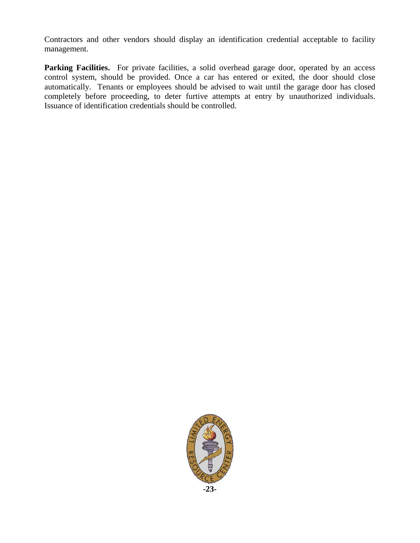Contractors and other vendors should display an identification credential acceptable to facility management.

Parking Facilities. For private facilities, a solid overhead garage door, operated by an access control system, should be provided. Once a car has entered or exited, the door should close automatically. Tenants or employees should be advised to wait until the garage door has closed completely before proceeding, to deter furtive attempts at entry by unauthorized individuals. Issuance of identification credentials should be controlled.

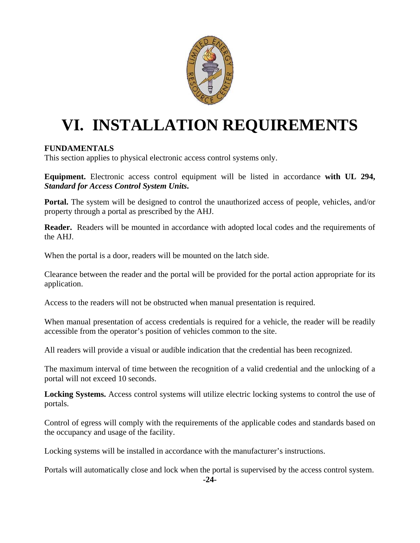

# **VI. INSTALLATION REQUIREMENTS**

#### **FUNDAMENTALS**

This section applies to physical electronic access control systems only.

**Equipment.** Electronic access control equipment will be listed in accordance **with UL 294,**  *Standard for Access Control System Units***.** 

**Portal.** The system will be designed to control the unauthorized access of people, vehicles, and/or property through a portal as prescribed by the AHJ.

**Reader.** Readers will be mounted in accordance with adopted local codes and the requirements of the AHJ.

When the portal is a door, readers will be mounted on the latch side.

Clearance between the reader and the portal will be provided for the portal action appropriate for its application.

Access to the readers will not be obstructed when manual presentation is required.

When manual presentation of access credentials is required for a vehicle, the reader will be readily accessible from the operator's position of vehicles common to the site.

All readers will provide a visual or audible indication that the credential has been recognized.

The maximum interval of time between the recognition of a valid credential and the unlocking of a portal will not exceed 10 seconds.

**Locking Systems.** Access control systems will utilize electric locking systems to control the use of portals.

Control of egress will comply with the requirements of the applicable codes and standards based on the occupancy and usage of the facility.

Locking systems will be installed in accordance with the manufacturer's instructions.

Portals will automatically close and lock when the portal is supervised by the access control system.

**-24-**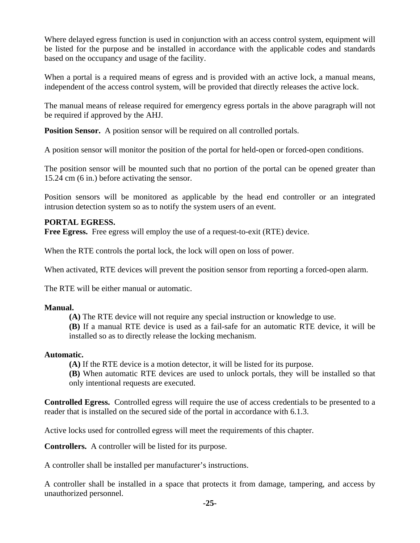Where delayed egress function is used in conjunction with an access control system, equipment will be listed for the purpose and be installed in accordance with the applicable codes and standards based on the occupancy and usage of the facility.

When a portal is a required means of egress and is provided with an active lock, a manual means, independent of the access control system, will be provided that directly releases the active lock.

The manual means of release required for emergency egress portals in the above paragraph will not be required if approved by the AHJ.

**Position Sensor.** A position sensor will be required on all controlled portals.

A position sensor will monitor the position of the portal for held-open or forced-open conditions.

The position sensor will be mounted such that no portion of the portal can be opened greater than 15.24 cm (6 in.) before activating the sensor.

Position sensors will be monitored as applicable by the head end controller or an integrated intrusion detection system so as to notify the system users of an event.

#### **PORTAL EGRESS.**

**Free Egress.** Free egress will employ the use of a request-to-exit (RTE) device.

When the RTE controls the portal lock, the lock will open on loss of power.

When activated, RTE devices will prevent the position sensor from reporting a forced-open alarm.

The RTE will be either manual or automatic.

#### **Manual.**

**(A)** The RTE device will not require any special instruction or knowledge to use.

**(B)** If a manual RTE device is used as a fail-safe for an automatic RTE device, it will be installed so as to directly release the locking mechanism.

#### **Automatic.**

**(A)** If the RTE device is a motion detector, it will be listed for its purpose.

**(B)** When automatic RTE devices are used to unlock portals, they will be installed so that only intentional requests are executed.

**Controlled Egress.** Controlled egress will require the use of access credentials to be presented to a reader that is installed on the secured side of the portal in accordance with 6.1.3.

Active locks used for controlled egress will meet the requirements of this chapter.

**Controllers.** A controller will be listed for its purpose.

A controller shall be installed per manufacturer's instructions.

A controller shall be installed in a space that protects it from damage, tampering, and access by unauthorized personnel.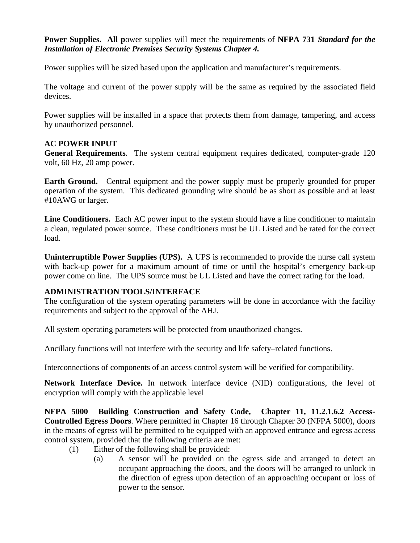**Power Supplies. All p**ower supplies will meet the requirements of **NFPA 731** *Standard for the Installation of Electronic Premises Security Systems Chapter 4.*

Power supplies will be sized based upon the application and manufacturer's requirements.

The voltage and current of the power supply will be the same as required by the associated field devices.

Power supplies will be installed in a space that protects them from damage, tampering, and access by unauthorized personnel.

#### **AC POWER INPUT**

**General Requirements**. The system central equipment requires dedicated, computer-grade 120 volt, 60 Hz, 20 amp power.

**Earth Ground.** Central equipment and the power supply must be properly grounded for proper operation of the system. This dedicated grounding wire should be as short as possible and at least #10AWG or larger.

**Line Conditioners.** Each AC power input to the system should have a line conditioner to maintain a clean, regulated power source. These conditioners must be UL Listed and be rated for the correct load.

**Uninterruptible Power Supplies (UPS).** A UPS is recommended to provide the nurse call system with back-up power for a maximum amount of time or until the hospital's emergency back-up power come on line. The UPS source must be UL Listed and have the correct rating for the load.

#### **ADMINISTRATION TOOLS/INTERFACE**

The configuration of the system operating parameters will be done in accordance with the facility requirements and subject to the approval of the AHJ.

All system operating parameters will be protected from unauthorized changes.

Ancillary functions will not interfere with the security and life safety–related functions.

Interconnections of components of an access control system will be verified for compatibility.

**Network Interface Device.** In network interface device (NID) configurations, the level of encryption will comply with the applicable level

**NFPA 5000 Building Construction and Safety Code, Chapter 11, 11.2.1.6.2 Access-Controlled Egress Doors**. Where permitted in Chapter 16 through Chapter 30 (NFPA 5000), doors in the means of egress will be permitted to be equipped with an approved entrance and egress access control system, provided that the following criteria are met:

- (1) Either of the following shall be provided:
	- (a) A sensor will be provided on the egress side and arranged to detect an occupant approaching the doors, and the doors will be arranged to unlock in the direction of egress upon detection of an approaching occupant or loss of power to the sensor.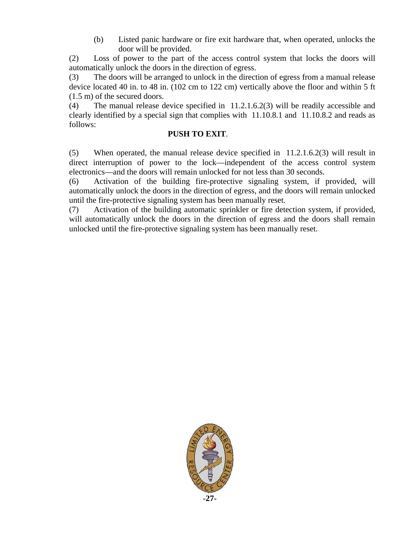(b) Listed panic hardware or fire exit hardware that, when operated, unlocks the door will be provided.

(2) Loss of power to the part of the access control system that locks the doors will automatically unlock the doors in the direction of egress.

(3) The doors will be arranged to unlock in the direction of egress from a manual release device located 40 in. to 48 in. (102 cm to 122 cm) vertically above the floor and within 5 ft (1.5 m) of the secured doors.

(4) The manual release device specified in 11.2.1.6.2(3) will be readily accessible and clearly identified by a special sign that complies with 11.10.8.1 and 11.10.8.2 and reads as follows:

#### **PUSH TO EXIT**.

(5) When operated, the manual release device specified in 11.2.1.6.2(3) will result in direct interruption of power to the lock—independent of the access control system electronics—and the doors will remain unlocked for not less than 30 seconds.

(6) Activation of the building fire-protective signaling system, if provided, will automatically unlock the doors in the direction of egress, and the doors will remain unlocked until the fire-protective signaling system has been manually reset.

(7) Activation of the building automatic sprinkler or fire detection system, if provided, will automatically unlock the doors in the direction of egress and the doors shall remain unlocked until the fire-protective signaling system has been manually reset.

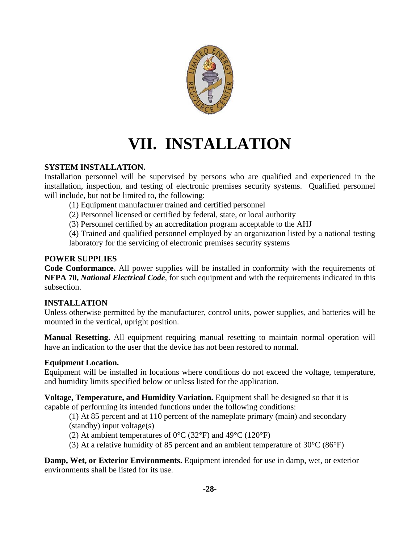

# **VII. INSTALLATION**

#### **SYSTEM INSTALLATION.**

Installation personnel will be supervised by persons who are qualified and experienced in the installation, inspection, and testing of electronic premises security systems. Qualified personnel will include, but not be limited to, the following:

(1) Equipment manufacturer trained and certified personnel

(2) Personnel licensed or certified by federal, state, or local authority

(3) Personnel certified by an accreditation program acceptable to the AHJ

(4) Trained and qualified personnel employed by an organization listed by a national testing laboratory for the servicing of electronic premises security systems

#### **POWER SUPPLIES**

**Code Conformance.** All power supplies will be installed in conformity with the requirements of **NFPA 70,** *National Electrical Code*, for such equipment and with the requirements indicated in this subsection.

#### **INSTALLATION**

Unless otherwise permitted by the manufacturer, control units, power supplies, and batteries will be mounted in the vertical, upright position.

**Manual Resetting.** All equipment requiring manual resetting to maintain normal operation will have an indication to the user that the device has not been restored to normal.

#### **Equipment Location.**

Equipment will be installed in locations where conditions do not exceed the voltage, temperature, and humidity limits specified below or unless listed for the application.

**Voltage, Temperature, and Humidity Variation.** Equipment shall be designed so that it is capable of performing its intended functions under the following conditions:

(1) At 85 percent and at 110 percent of the nameplate primary (main) and secondary (standby) input voltage(s)

(2) At ambient temperatures of  $0^{\circ}$ C (32 $^{\circ}$ F) and 49 $^{\circ}$ C (120 $^{\circ}$ F)

(3) At a relative humidity of 85 percent and an ambient temperature of 30°C (86°F)

**Damp, Wet, or Exterior Environments.** Equipment intended for use in damp, wet, or exterior environments shall be listed for its use.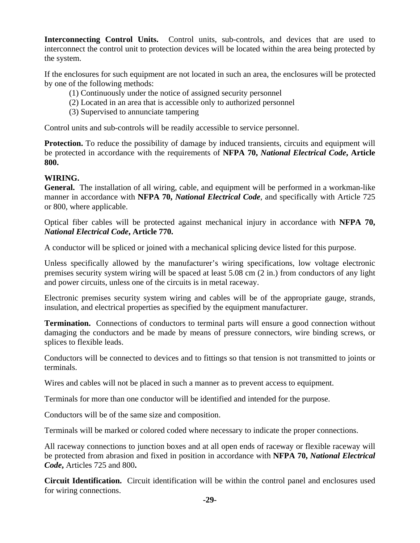**Interconnecting Control Units.** Control units, sub-controls, and devices that are used to interconnect the control unit to protection devices will be located within the area being protected by the system.

If the enclosures for such equipment are not located in such an area, the enclosures will be protected by one of the following methods:

- (1) Continuously under the notice of assigned security personnel
- (2) Located in an area that is accessible only to authorized personnel
- (3) Supervised to annunciate tampering

Control units and sub-controls will be readily accessible to service personnel.

**Protection.** To reduce the possibility of damage by induced transients, circuits and equipment will be protected in accordance with the requirements of **NFPA 70,** *National Electrical Code***, Article 800.** 

#### **WIRING.**

**General.** The installation of all wiring, cable, and equipment will be performed in a workman-like manner in accordance with **NFPA 70,** *National Electrical Code*, and specifically with Article 725 or 800, where applicable.

Optical fiber cables will be protected against mechanical injury in accordance with **NFPA 70,**  *National Electrical Code***, Article 770.** 

A conductor will be spliced or joined with a mechanical splicing device listed for this purpose.

Unless specifically allowed by the manufacturer's wiring specifications, low voltage electronic premises security system wiring will be spaced at least 5.08 cm (2 in.) from conductors of any light and power circuits, unless one of the circuits is in metal raceway.

Electronic premises security system wiring and cables will be of the appropriate gauge, strands, insulation, and electrical properties as specified by the equipment manufacturer.

**Termination.** Connections of conductors to terminal parts will ensure a good connection without damaging the conductors and be made by means of pressure connectors, wire binding screws, or splices to flexible leads.

Conductors will be connected to devices and to fittings so that tension is not transmitted to joints or terminals.

Wires and cables will not be placed in such a manner as to prevent access to equipment.

Terminals for more than one conductor will be identified and intended for the purpose.

Conductors will be of the same size and composition.

Terminals will be marked or colored coded where necessary to indicate the proper connections.

All raceway connections to junction boxes and at all open ends of raceway or flexible raceway will be protected from abrasion and fixed in position in accordance with **NFPA 70,** *National Electrical Code***,** Articles 725 and 800**.** 

**Circuit Identification.** Circuit identification will be within the control panel and enclosures used for wiring connections.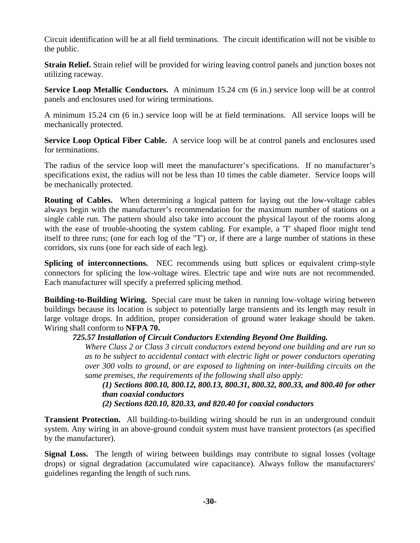Circuit identification will be at all field terminations. The circuit identification will not be visible to the public.

**Strain Relief.** Strain relief will be provided for wiring leaving control panels and junction boxes not utilizing raceway.

**Service Loop Metallic Conductors.** A minimum 15.24 cm (6 in.) service loop will be at control panels and enclosures used for wiring terminations.

A minimum 15.24 cm (6 in.) service loop will be at field terminations. All service loops will be mechanically protected.

**Service Loop Optical Fiber Cable.** A service loop will be at control panels and enclosures used for terminations.

The radius of the service loop will meet the manufacturer's specifications. If no manufacturer's specifications exist, the radius will not be less than 10 times the cable diameter. Service loops will be mechanically protected.

**Routing of Cables.** When determining a logical pattern for laying out the low-voltage cables always begin with the manufacturer's recommendation for the maximum number of stations on a single cable run. The pattern should also take into account the physical layout of the rooms along with the ease of trouble-shooting the system cabling. For example, a 'T' shaped floor might tend itself to three runs; (one for each log of the "T') or, if there are a large number of stations in these corridors, six runs (one for each side of each leg).

**Splicing of interconnections.** NEC recommends using butt splices or equivalent crimp-style connectors for splicing the low-voltage wires. Electric tape and wire nuts are not recommended. Each manufacturer will specify a preferred splicing method.

**Building-to-Building Wiring.** Special care must be taken in running low-voltage wiring between buildings because its location is subject to potentially large transients and its length may result in large voltage drops. In addition, proper consideration of ground water leakage should be taken. Wiring shall conform to **NFPA 70.**

#### *725.57 Installation of Circuit Conductors Extending Beyond One Building.*

*Where Class 2 or Class 3 circuit conductors extend beyond one building and are run so as to be subject to accidental contact with electric light or power conductors operating over 300 volts to ground, or are exposed to lightning on inter-building circuits on the same premises, the requirements of the following shall also apply:* 

*(1) Sections 800.10, 800.12, 800.13, 800.31, 800.32, 800.33, and 800.40 for other than coaxial conductors* 

 *(2) Sections 820.10, 820.33, and 820.40 for coaxial conductors* 

**Transient Protection.** All building-to-building wiring should be run in an underground conduit system. Any wiring in an above-ground conduit system must have transient protectors (as specified by the manufacturer).

**Signal Loss.** The length of wiring between buildings may contribute to signal losses (voltage drops) or signal degradation (accumulated wire capacitance). Always follow the manufacturers' guidelines regarding the length of such runs.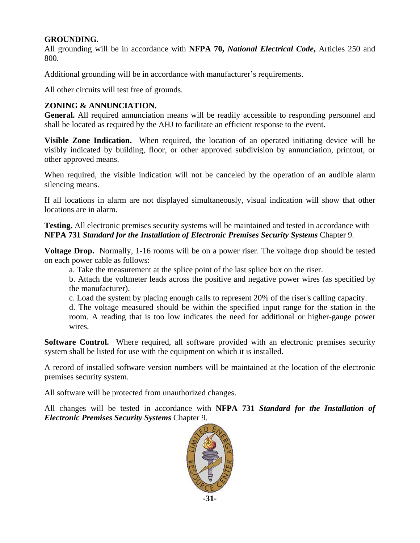#### **GROUNDING.**

All grounding will be in accordance with **NFPA 70,** *National Electrical Code***,** Articles 250 and 800.

Additional grounding will be in accordance with manufacturer's requirements.

All other circuits will test free of grounds.

#### **ZONING & ANNUNCIATION.**

**General.** All required annunciation means will be readily accessible to responding personnel and shall be located as required by the AHJ to facilitate an efficient response to the event.

**Visible Zone Indication.** When required, the location of an operated initiating device will be visibly indicated by building, floor, or other approved subdivision by annunciation, printout, or other approved means.

When required, the visible indication will not be canceled by the operation of an audible alarm silencing means.

If all locations in alarm are not displayed simultaneously, visual indication will show that other locations are in alarm.

#### **Testing.** All electronic premises security systems will be maintained and tested in accordance with **NFPA 731** *Standard for the Installation of Electronic Premises Security Systems* Chapter 9.

**Voltage Drop.** Normally, 1-16 rooms will be on a power riser. The voltage drop should be tested on each power cable as follows:

a. Take the measurement at the splice point of the last splice box on the riser.

b. Attach the voltmeter leads across the positive and negative power wires (as specified by the manufacturer).

c. Load the system by placing enough calls to represent 20% of the riser's calling capacity.

d. The voltage measured should be within the specified input range for the station in the room. A reading that is too low indicates the need for additional or higher-gauge power wires.

**Software Control.** Where required, all software provided with an electronic premises security system shall be listed for use with the equipment on which it is installed.

A record of installed software version numbers will be maintained at the location of the electronic premises security system.

All software will be protected from unauthorized changes.

All changes will be tested in accordance with **NFPA 731** *Standard for the Installation of Electronic Premises Security Systems* Chapter 9.

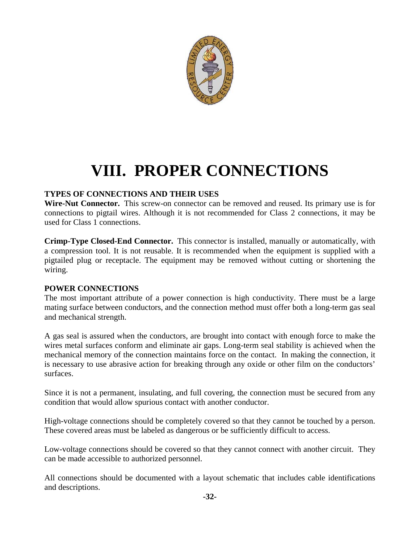

### **VIII. PROPER CONNECTIONS**

#### **TYPES OF CONNECTIONS AND THEIR USES**

**Wire-Nut Connector.** This screw-on connector can be removed and reused. Its primary use is for connections to pigtail wires. Although it is not recommended for Class 2 connections, it may be used for Class 1 connections.

**Crimp-Type Closed-End Connector.** This connector is installed, manually or automatically, with a compression tool. It is not reusable. It is recommended when the equipment is supplied with a pigtailed plug or receptacle. The equipment may be removed without cutting or shortening the wiring.

#### **POWER CONNECTIONS**

The most important attribute of a power connection is high conductivity. There must be a large mating surface between conductors, and the connection method must offer both a long-term gas seal and mechanical strength.

A gas seal is assured when the conductors, are brought into contact with enough force to make the wires metal surfaces conform and eliminate air gaps. Long-term seal stability is achieved when the mechanical memory of the connection maintains force on the contact. In making the connection, it is necessary to use abrasive action for breaking through any oxide or other film on the conductors' surfaces.

Since it is not a permanent, insulating, and full covering, the connection must be secured from any condition that would allow spurious contact with another conductor.

High-voltage connections should be completely covered so that they cannot be touched by a person. These covered areas must be labeled as dangerous or be sufficiently difficult to access.

Low-voltage connections should be covered so that they cannot connect with another circuit. They can be made accessible to authorized personnel.

All connections should be documented with a layout schematic that includes cable identifications and descriptions.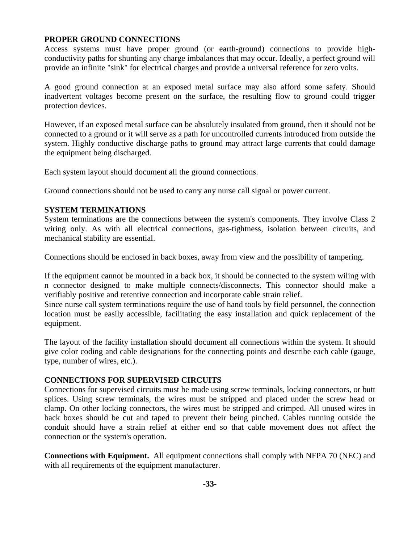#### **PROPER GROUND CONNECTIONS**

Access systems must have proper ground (or earth-ground) connections to provide highconductivity paths for shunting any charge imbalances that may occur. Ideally, a perfect ground will provide an infinite "sink" for electrical charges and provide a universal reference for zero volts.

A good ground connection at an exposed metal surface may also afford some safety. Should inadvertent voltages become present on the surface, the resulting flow to ground could trigger protection devices.

However, if an exposed metal surface can be absolutely insulated from ground, then it should not be connected to a ground or it will serve as a path for uncontrolled currents introduced from outside the system. Highly conductive discharge paths to ground may attract large currents that could damage the equipment being discharged.

Each system layout should document all the ground connections.

Ground connections should not be used to carry any nurse call signal or power current.

#### **SYSTEM TERMINATIONS**

System terminations are the connections between the system's components. They involve Class 2 wiring only. As with all electrical connections, gas-tightness, isolation between circuits, and mechanical stability are essential.

Connections should be enclosed in back boxes, away from view and the possibility of tampering.

If the equipment cannot be mounted in a back box, it should be connected to the system wiling with n connector designed to make multiple connects/disconnects. This connector should make a verifiably positive and retentive connection and incorporate cable strain relief.

Since nurse call system terminations require the use of hand tools by field personnel, the connection location must be easily accessible, facilitating the easy installation and quick replacement of the equipment.

The layout of the facility installation should document all connections within the system. It should give color coding and cable designations for the connecting points and describe each cable (gauge, type, number of wires, etc.).

#### **CONNECTIONS FOR SUPERVISED CIRCUITS**

Connections for supervised circuits must be made using screw terminals, locking connectors, or butt splices. Using screw terminals, the wires must be stripped and placed under the screw head or clamp. On other locking connectors, the wires must be stripped and crimped. All unused wires in back boxes should be cut and taped to prevent their being pinched. Cables running outside the conduit should have a strain relief at either end so that cable movement does not affect the connection or the system's operation.

**Connections with Equipment.** All equipment connections shall comply with NFPA 70 (NEC) and with all requirements of the equipment manufacturer.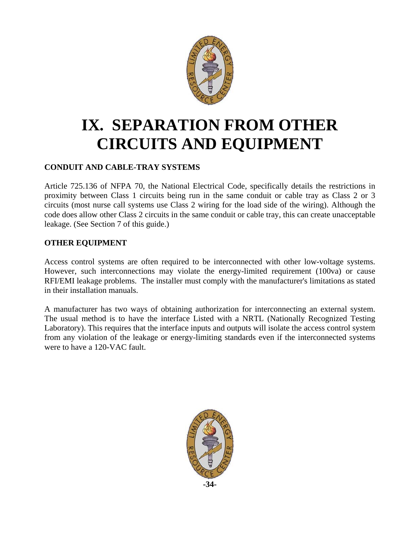

### **IX. SEPARATION FROM OTHER CIRCUITS AND EQUIPMENT**

#### **CONDUIT AND CABLE-TRAY SYSTEMS**

Article 725.136 of NFPA 70, the National Electrical Code, specifically details the restrictions in proximity between Class 1 circuits being run in the same conduit or cable tray as Class 2 or 3 circuits (most nurse call systems use Class 2 wiring for the load side of the wiring). Although the code does allow other Class 2 circuits in the same conduit or cable tray, this can create unacceptable leakage. (See Section 7 of this guide.)

#### **OTHER EQUIPMENT**

Access control systems are often required to be interconnected with other low-voltage systems. However, such interconnections may violate the energy-limited requirement (100va) or cause RFI/EMI leakage problems. The installer must comply with the manufacturer's limitations as stated in their installation manuals.

A manufacturer has two ways of obtaining authorization for interconnecting an external system. The usual method is to have the interface Listed with a NRTL (Nationally Recognized Testing Laboratory). This requires that the interface inputs and outputs will isolate the access control system from any violation of the leakage or energy-limiting standards even if the interconnected systems were to have a 120-VAC fault.

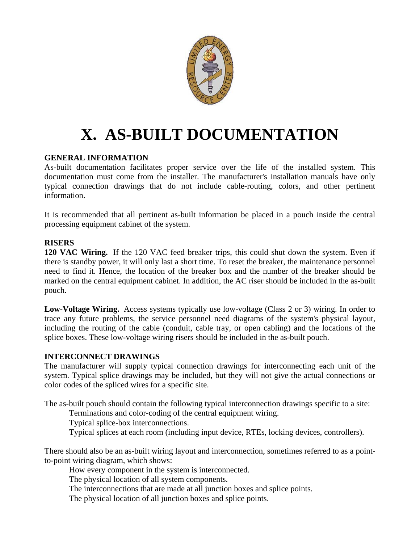

# **X. AS-BUILT DOCUMENTATION**

#### **GENERAL INFORMATION**

As-built documentation facilitates proper service over the life of the installed system. This documentation must come from the installer. The manufacturer's installation manuals have only typical connection drawings that do not include cable-routing, colors, and other pertinent information.

It is recommended that all pertinent as-built information be placed in a pouch inside the central processing equipment cabinet of the system.

#### **RISERS**

**120 VAC Wiring.** If the 120 VAC feed breaker trips, this could shut down the system. Even if there is standby power, it will only last a short time. To reset the breaker, the maintenance personnel need to find it. Hence, the location of the breaker box and the number of the breaker should be marked on the central equipment cabinet. In addition, the AC riser should be included in the as-built pouch.

**Low**-**Voltage Wiring.** Access systems typically use low-voltage (Class 2 or 3) wiring. In order to trace any future problems, the service personnel need diagrams of the system's physical layout, including the routing of the cable (conduit, cable tray, or open cabling) and the locations of the splice boxes. These low-voltage wiring risers should be included in the as-built pouch.

#### **INTERCONNECT DRAWINGS**

The manufacturer will supply typical connection drawings for interconnecting each unit of the system. Typical splice drawings may be included, but they will not give the actual connections or color codes of the spliced wires for a specific site.

The as-built pouch should contain the following typical interconnection drawings specific to a site:

Terminations and color-coding of the central equipment wiring.

Typical splice-box interconnections.

Typical splices at each room (including input device, RTEs, locking devices, controllers).

There should also be an as-built wiring layout and interconnection, sometimes referred to as a pointto-point wiring diagram, which shows:

How every component in the system is interconnected.

The physical location of all system components.

The interconnections that are made at all junction boxes and splice points.

The physical location of all junction boxes and splice points.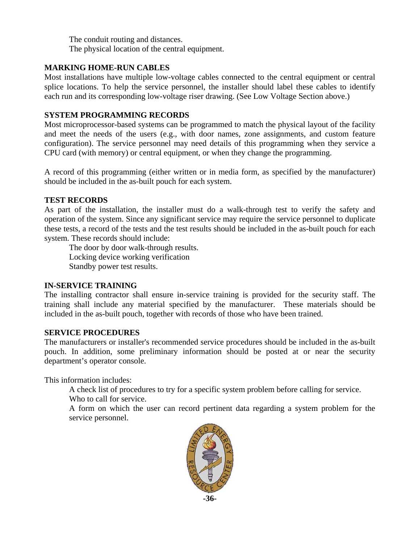The conduit routing and distances. The physical location of the central equipment.

#### **MARKING HOME-RUN CABLES**

Most installations have multiple low-voltage cables connected to the central equipment or central splice locations. To help the service personnel, the installer should label these cables to identify each run and its corresponding low-voltage riser drawing. (See Low Voltage Section above.)

#### **SYSTEM PROGRAMMING RECORDS**

Most microprocessor-based systems can be programmed to match the physical layout of the facility and meet the needs of the users (e.g., with door names, zone assignments, and custom feature configuration). The service personnel may need details of this programming when they service a CPU card (with memory) or central equipment, or when they change the programming.

A record of this programming (either written or in media form, as specified by the manufacturer) should be included in the as-built pouch for each system.

#### **TEST RECORDS**

As part of the installation, the installer must do a walk-through test to verify the safety and operation of the system. Since any significant service may require the service personnel to duplicate these tests, a record of the tests and the test results should be included in the as-built pouch for each system. These records should include:

 The door by door walk-through results. Locking device working verification Standby power test results.

#### **IN-SERVICE TRAINING**

The installing contractor shall ensure in-service training is provided for the security staff. The training shall include any material specified by the manufacturer. These materials should be included in the as-built pouch, together with records of those who have been trained.

#### **SERVICE PROCEDURES**

The manufacturers or installer's recommended service procedures should be included in the as-built pouch. In addition, some preliminary information should be posted at or near the security department's operator console.

This information includes:

A check list of procedures to try for a specific system problem before calling for service.

Who to call for service.

A form on which the user can record pertinent data regarding a system problem for the service personnel.

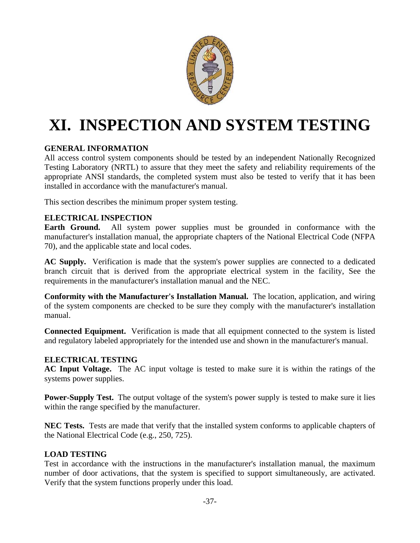

# **XI. INSPECTION AND SYSTEM TESTING**

#### **GENERAL INFORMATION**

All access control system components should be tested by an independent Nationally Recognized Testing Laboratory (NRTL) to assure that they meet the safety and reliability requirements of the appropriate ANSI standards, the completed system must also be tested to verify that it has been installed in accordance with the manufacturer's manual.

This section describes the minimum proper system testing.

#### **ELECTRICAL INSPECTION**

**Earth Ground.** All system power supplies must be grounded in conformance with the manufacturer's installation manual, the appropriate chapters of the National Electrical Code (NFPA 70), and the applicable state and local codes.

**AC Supply.** Verification is made that the system's power supplies are connected to a dedicated branch circuit that is derived from the appropriate electrical system in the facility, See the requirements in the manufacturer's installation manual and the NEC.

**Conformity with the Manufacturer's Installation Manual.** The location, application, and wiring of the system components are checked to be sure they comply with the manufacturer's installation manual.

**Connected Equipment.** Verification is made that all equipment connected to the system is listed and regulatory labeled appropriately for the intended use and shown in the manufacturer's manual.

#### **ELECTRICAL TESTING**

**AC Input Voltage.** The AC input voltage is tested to make sure it is within the ratings of the systems power supplies.

**Power-Supply Test.** The output voltage of the system's power supply is tested to make sure it lies within the range specified by the manufacturer.

**NEC Tests.** Tests are made that verify that the installed system conforms to applicable chapters of the National Electrical Code (e.g., 250, 725).

#### **LOAD TESTING**

Test in accordance with the instructions in the manufacturer's installation manual, the maximum number of door activations, that the system is specified to support simultaneously, are activated. Verify that the system functions properly under this load.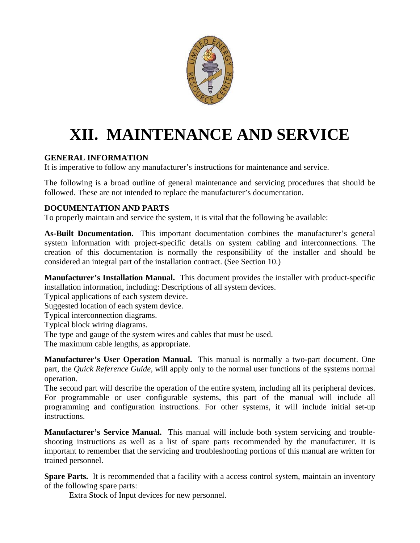

# **XII. MAINTENANCE AND SERVICE**

#### **GENERAL INFORMATION**

It is imperative to follow any manufacturer's instructions for maintenance and service.

The following is a broad outline of general maintenance and servicing procedures that should be followed. These are not intended to replace the manufacturer's documentation.

#### **DOCUMENTATION AND PARTS**

To properly maintain and service the system, it is vital that the following be available:

**As-Built Documentation.** This important documentation combines the manufacturer's general system information with project-specific details on system cabling and interconnections. The creation of this documentation is normally the responsibility of the installer and should be considered an integral part of the installation contract. (See Section 10.)

**Manufacturer's Installation Manual.** This document provides the installer with product-specific installation information, including: Descriptions of all system devices.

Typical applications of each system device.

Suggested location of each system device.

Typical interconnection diagrams.

Typical block wiring diagrams.

The type and gauge of the system wires and cables that must be used.

The maximum cable lengths, as appropriate.

**Manufacturer's User Operation Manual.** This manual is normally a two-part document. One part, the *Quick Reference Guide,* will apply only to the normal user functions of the systems normal operation.

The second part will describe the operation of the entire system, including all its peripheral devices. For programmable or user configurable systems, this part of the manual will include all programming and configuration instructions. For other systems, it will include initial set-up instructions.

**Manufacturer's Service Manual.** This manual will include both system servicing and troubleshooting instructions as well as a list of spare parts recommended by the manufacturer. It is important to remember that the servicing and troubleshooting portions of this manual are written for trained personnel.

**Spare Parts.** It is recommended that a facility with a access control system, maintain an inventory of the following spare parts:

Extra Stock of Input devices for new personnel.